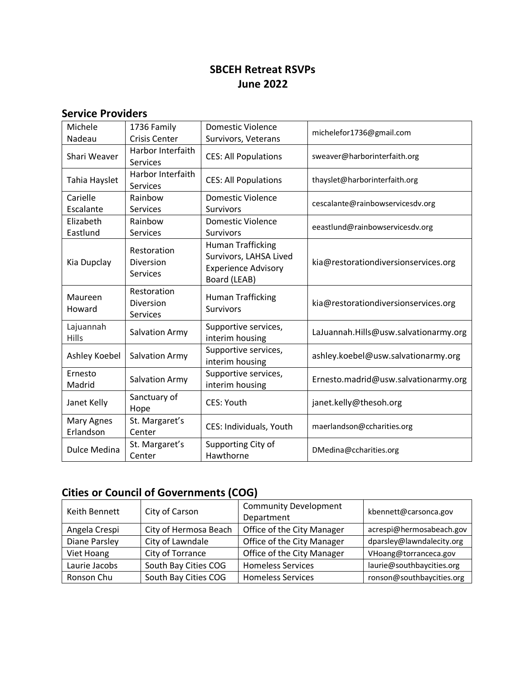### **SBCEH Retreat RSVPs June 2022**

#### **Service Providers**

| Michele<br>Nadeau       | 1736 Family<br><b>Crisis Center</b>         | Domestic Violence<br>Survivors, Veterans                                                         | michelefor1736@gmail.com              |
|-------------------------|---------------------------------------------|--------------------------------------------------------------------------------------------------|---------------------------------------|
| Shari Weaver            | Harbor Interfaith<br>Services               | <b>CES: All Populations</b>                                                                      | sweaver@harborinterfaith.org          |
| Tahia Hayslet           | Harbor Interfaith<br><b>Services</b>        | <b>CES: All Populations</b>                                                                      | thayslet@harborinterfaith.org         |
| Carielle<br>Escalante   | Rainbow<br><b>Services</b>                  | <b>Domestic Violence</b><br><b>Survivors</b>                                                     | cescalante@rainbowservicesdv.org      |
| Elizabeth<br>Eastlund   | Rainbow<br><b>Services</b>                  | Domestic Violence<br>Survivors                                                                   | eeastlund@rainbowservicesdv.org       |
| Kia Dupclay             | Restoration<br>Diversion<br>Services        | <b>Human Trafficking</b><br>Survivors, LAHSA Lived<br><b>Experience Advisory</b><br>Board (LEAB) | kia@restorationdiversionservices.org  |
| Maureen<br>Howard       | Restoration<br>Diversion<br><b>Services</b> | <b>Human Trafficking</b><br><b>Survivors</b>                                                     | kia@restorationdiversionservices.org  |
| Lajuannah<br>Hills      | Salvation Army                              | Supportive services,<br>interim housing                                                          | LaJuannah.Hills@usw.salvationarmy.org |
| Ashley Koebel           | <b>Salvation Army</b>                       | Supportive services,<br>interim housing                                                          | ashley.koebel@usw.salvationarmy.org   |
| Ernesto<br>Madrid       | <b>Salvation Army</b>                       | Supportive services,<br>interim housing                                                          | Ernesto.madrid@usw.salvationarmy.org  |
| Janet Kelly             | Sanctuary of<br>Hope                        | <b>CES: Youth</b>                                                                                | janet.kelly@thesoh.org                |
| Mary Agnes<br>Erlandson | St. Margaret's<br>Center                    | CES: Individuals, Youth                                                                          | maerlandson@ccharities.org            |
| <b>Dulce Medina</b>     | St. Margaret's<br>Center                    | Supporting City of<br>Hawthorne                                                                  | DMedina@ccharities.org                |

### **Cities or Council of Governments (COG)**

| Keith Bennett | City of Carson        | <b>Community Development</b><br>Department | kbennett@carsonca.gov     |
|---------------|-----------------------|--------------------------------------------|---------------------------|
| Angela Crespi | City of Hermosa Beach | Office of the City Manager                 | acrespi@hermosabeach.gov  |
| Diane Parsley | City of Lawndale      | Office of the City Manager                 | dparsley@lawndalecity.org |
| Viet Hoang    | City of Torrance      | Office of the City Manager                 | VHoang@torranceca.gov     |
| Laurie Jacobs | South Bay Cities COG  | <b>Homeless Services</b>                   | laurie@southbaycities.org |
| Ronson Chu    | South Bay Cities COG  | <b>Homeless Services</b>                   | ronson@southbaycities.org |